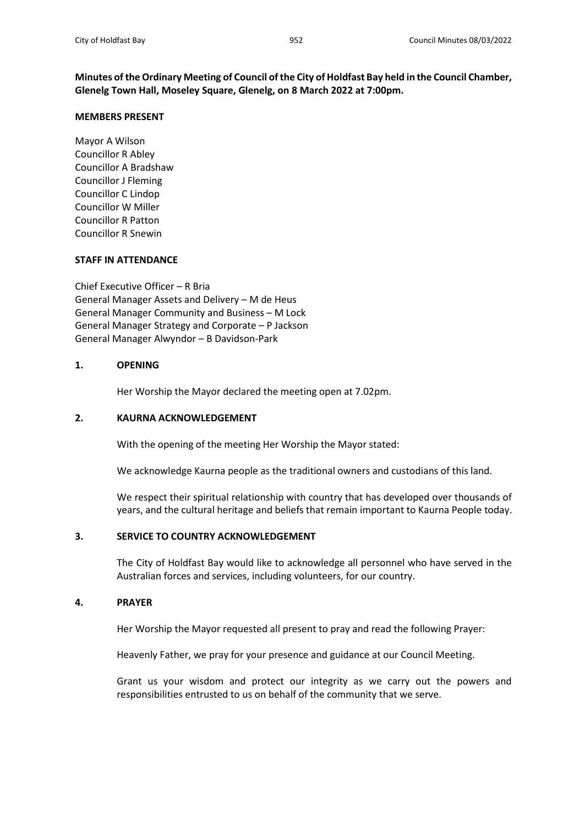**Minutes of the Ordinary Meeting of Council of the City of Holdfast Bay held in the Council Chamber, Glenelg Town Hall, Moseley Square, Glenelg, on 8 March 2022 at 7:00pm.**

### **MEMBERS PRESENT**

Mayor A Wilson Councillor R Abley Councillor A Bradshaw Councillor J Fleming Councillor C Lindop Councillor W Miller Councillor R Patton Councillor R Snewin

### **STAFF IN ATTENDANCE**

Chief Executive Officer – R Bria General Manager Assets and Delivery – M de Heus General Manager Community and Business – M Lock General Manager Strategy and Corporate – P Jackson General Manager Alwyndor – B Davidson-Park

### **1. OPENING**

Her Worship the Mayor declared the meeting open at 7.02pm.

### **2. KAURNA ACKNOWLEDGEMENT**

With the opening of the meeting Her Worship the Mayor stated:

We acknowledge Kaurna people as the traditional owners and custodians of this land.

We respect their spiritual relationship with country that has developed over thousands of years, and the cultural heritage and beliefs that remain important to Kaurna People today.

## **3. SERVICE TO COUNTRY ACKNOWLEDGEMENT**

The City of Holdfast Bay would like to acknowledge all personnel who have served in the Australian forces and services, including volunteers, for our country.

### **4. PRAYER**

Her Worship the Mayor requested all present to pray and read the following Prayer:

Heavenly Father, we pray for your presence and guidance at our Council Meeting.

Grant us your wisdom and protect our integrity as we carry out the powers and responsibilities entrusted to us on behalf of the community that we serve.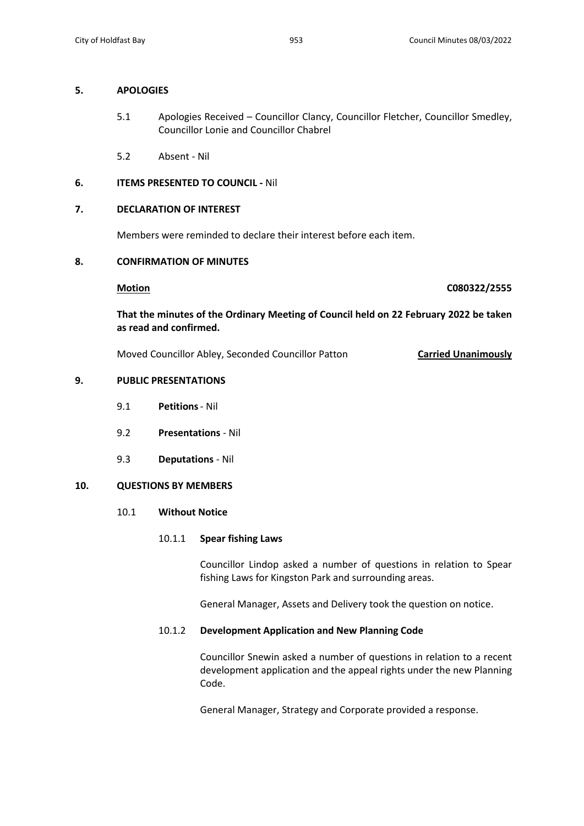## **5. APOLOGIES**

- 5.1 Apologies Received Councillor Clancy, Councillor Fletcher, Councillor Smedley, Councillor Lonie and Councillor Chabrel
- 5.2 Absent Nil

# **6. ITEMS PRESENTED TO COUNCIL -** Nil

# **7. DECLARATION OF INTEREST**

Members were reminded to declare their interest before each item.

### **8. CONFIRMATION OF MINUTES**

**Motion C080322/2555**

**That the minutes of the Ordinary Meeting of Council held on 22 February 2022 be taken as read and confirmed.**

Moved Councillor Abley, Seconded Councillor Patton **Carried Unanimously**

# **9. PUBLIC PRESENTATIONS**

- 9.1 **Petitions** Nil
- 9.2 **Presentations**  Nil
- 9.3 **Deputations**  Nil

### **10. QUESTIONS BY MEMBERS**

10.1 **Without Notice**

### 10.1.1 **Spear fishing Laws**

Councillor Lindop asked a number of questions in relation to Spear fishing Laws for Kingston Park and surrounding areas.

General Manager, Assets and Delivery took the question on notice.

### 10.1.2 **Development Application and New Planning Code**

Councillor Snewin asked a number of questions in relation to a recent development application and the appeal rights under the new Planning Code.

General Manager, Strategy and Corporate provided a response.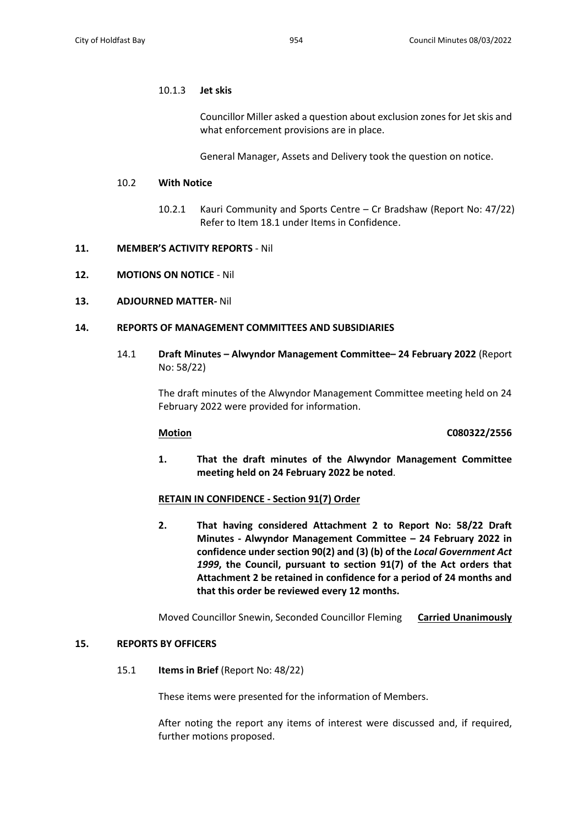### 10.1.3 **Jet skis**

Councillor Miller asked a question about exclusion zones for Jet skis and what enforcement provisions are in place.

General Manager, Assets and Delivery took the question on notice.

### 10.2 **With Notice**

10.2.1 Kauri Community and Sports Centre – Cr Bradshaw (Report No: 47/22) Refer to Item 18.1 under Items in Confidence.

### **11. MEMBER'S ACTIVITY REPORTS** - Nil

**12. MOTIONS ON NOTICE** - Nil

### **13. ADJOURNED MATTER-** Nil

### **14. REPORTS OF MANAGEMENT COMMITTEES AND SUBSIDIARIES**

14.1 **Draft Minutes – Alwyndor Management Committee– 24 February 2022** (Report No: 58/22)

> The draft minutes of the Alwyndor Management Committee meeting held on 24 February 2022 were provided for information.

### **Motion C080322/2556**

**1. That the draft minutes of the Alwyndor Management Committee meeting held on 24 February 2022 be noted**.

## **RETAIN IN CONFIDENCE - Section 91(7) Order**

**2. That having considered Attachment 2 to Report No: 58/22 Draft Minutes - Alwyndor Management Committee – 24 February 2022 in confidence under section 90(2) and (3) (b) of the** *Local Government Act 1999***, the Council, pursuant to section 91(7) of the Act orders that Attachment 2 be retained in confidence for a period of 24 months and that this order be reviewed every 12 months.**

Moved Councillor Snewin, Seconded Councillor Fleming **Carried Unanimously**

### **15. REPORTS BY OFFICERS**

15.1 **Items in Brief** (Report No: 48/22)

These items were presented for the information of Members.

After noting the report any items of interest were discussed and, if required, further motions proposed.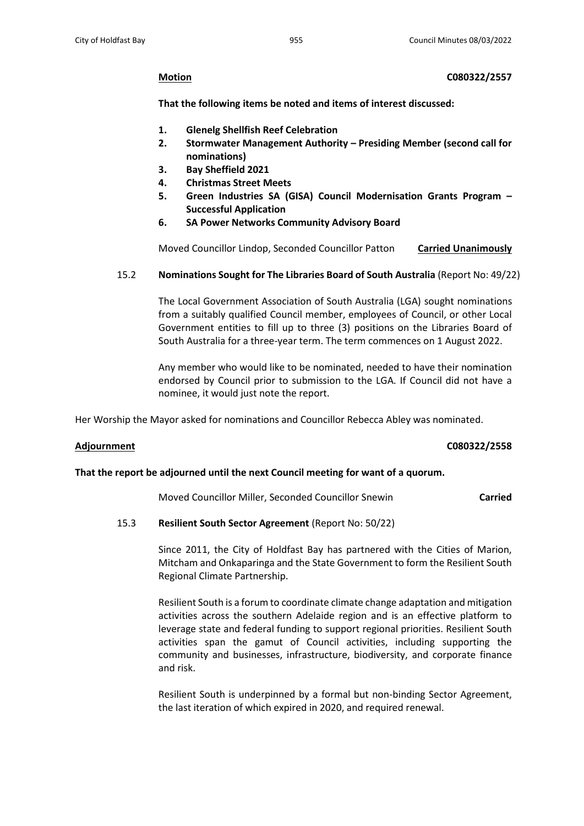**Motion C080322/2557**

**That the following items be noted and items of interest discussed:**

- **1. Glenelg Shellfish Reef Celebration**
- **2. Stormwater Management Authority – Presiding Member (second call for nominations)**
- **3. Bay Sheffield 2021**
- **4. Christmas Street Meets**
- **5. Green Industries SA (GISA) Council Modernisation Grants Program – Successful Application**
- **6. SA Power Networks Community Advisory Board**

Moved Councillor Lindop, Seconded Councillor Patton **Carried Unanimously**

15.2 **Nominations Sought for The Libraries Board of South Australia** (Report No: 49/22)

The Local Government Association of South Australia (LGA) sought nominations from a suitably qualified Council member, employees of Council, or other Local Government entities to fill up to three (3) positions on the Libraries Board of South Australia for a three-year term. The term commences on 1 August 2022.

Any member who would like to be nominated, needed to have their nomination endorsed by Council prior to submission to the LGA. If Council did not have a nominee, it would just note the report.

Her Worship the Mayor asked for nominations and Councillor Rebecca Abley was nominated.

### **Adjournment C080322/2558**

### **That the report be adjourned until the next Council meeting for want of a quorum.**

Moved Councillor Miller, Seconded Councillor Snewin **Carried**

# 15.3 **Resilient South Sector Agreement** (Report No: 50/22)

Since 2011, the City of Holdfast Bay has partnered with the Cities of Marion, Mitcham and Onkaparinga and the State Government to form the Resilient South Regional Climate Partnership.

Resilient South is a forum to coordinate climate change adaptation and mitigation activities across the southern Adelaide region and is an effective platform to leverage state and federal funding to support regional priorities. Resilient South activities span the gamut of Council activities, including supporting the community and businesses, infrastructure, biodiversity, and corporate finance and risk.

Resilient South is underpinned by a formal but non-binding Sector Agreement, the last iteration of which expired in 2020, and required renewal.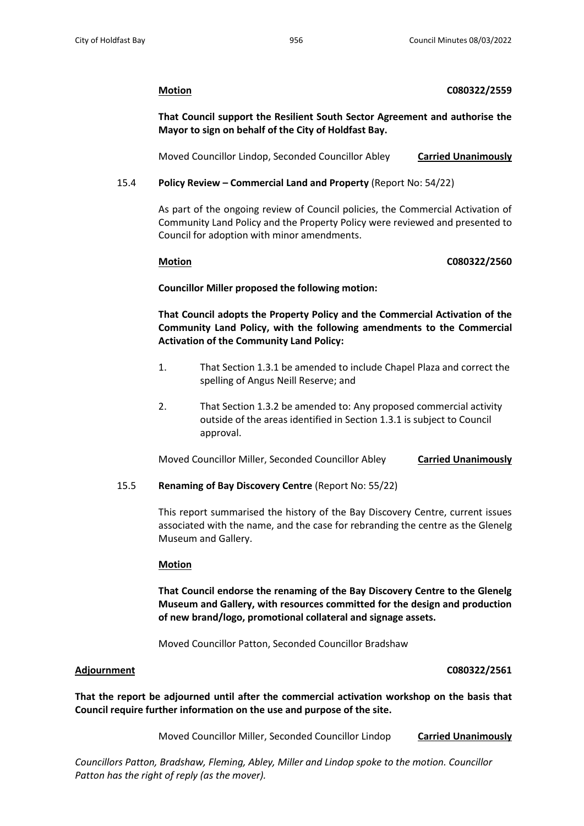## **Motion C080322/2559**

**That Council support the Resilient South Sector Agreement and authorise the Mayor to sign on behalf of the City of Holdfast Bay.**

Moved Councillor Lindop, Seconded Councillor Abley **Carried Unanimously**

# 15.4 **Policy Review – Commercial Land and Property** (Report No: 54/22)

As part of the ongoing review of Council policies, the Commercial Activation of Community Land Policy and the Property Policy were reviewed and presented to Council for adoption with minor amendments.

## **Motion C080322/2560**

**Councillor Miller proposed the following motion:**

**That Council adopts the Property Policy and the Commercial Activation of the Community Land Policy, with the following amendments to the Commercial Activation of the Community Land Policy:**

- 1. That Section 1.3.1 be amended to include Chapel Plaza and correct the spelling of Angus Neill Reserve; and
- 2. That Section 1.3.2 be amended to: Any proposed commercial activity outside of the areas identified in Section 1.3.1 is subject to Council approval.

Moved Councillor Miller, Seconded Councillor Abley **Carried Unanimously**

# 15.5 **Renaming of Bay Discovery Centre** (Report No: 55/22)

This report summarised the history of the Bay Discovery Centre, current issues associated with the name, and the case for rebranding the centre as the Glenelg Museum and Gallery.

# **Motion**

**That Council endorse the renaming of the Bay Discovery Centre to the Glenelg Museum and Gallery, with resources committed for the design and production of new brand/logo, promotional collateral and signage assets.**

Moved Councillor Patton, Seconded Councillor Bradshaw

### **Adjournment C080322/2561**

**That the report be adjourned until after the commercial activation workshop on the basis that Council require further information on the use and purpose of the site.**

Moved Councillor Miller, Seconded Councillor Lindop **Carried Unanimously**

*Councillors Patton, Bradshaw, Fleming, Abley, Miller and Lindop spoke to the motion. Councillor Patton has the right of reply (as the mover).*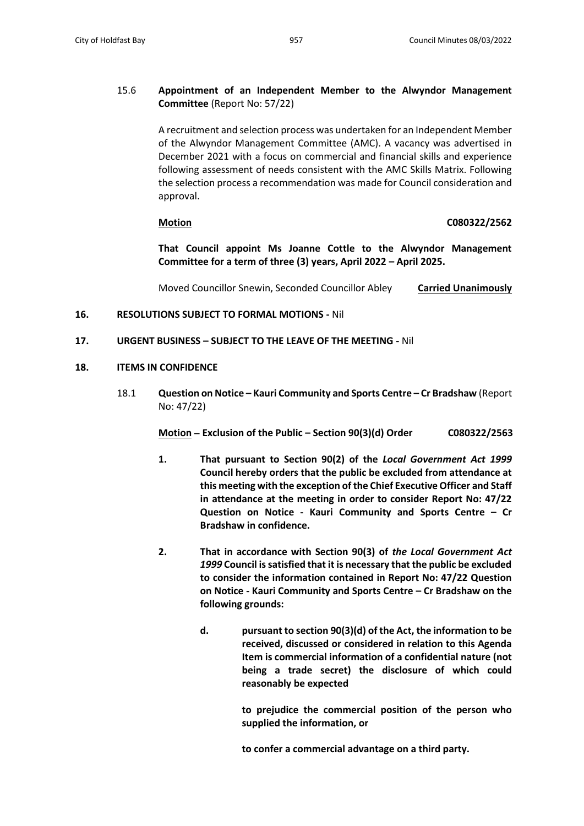# 15.6 **Appointment of an Independent Member to the Alwyndor Management Committee** (Report No: 57/22)

A recruitment and selection process was undertaken for an Independent Member of the Alwyndor Management Committee (AMC). A vacancy was advertised in December 2021 with a focus on commercial and financial skills and experience following assessment of needs consistent with the AMC Skills Matrix. Following the selection process a recommendation was made for Council consideration and approval.

## **Motion C080322/2562**

**That Council appoint Ms Joanne Cottle to the Alwyndor Management Committee for a term of three (3) years, April 2022 – April 2025.**

Moved Councillor Snewin, Seconded Councillor Abley **Carried Unanimously**

# **16. RESOLUTIONS SUBJECT TO FORMAL MOTIONS -** Nil

## **17. URGENT BUSINESS – SUBJECT TO THE LEAVE OF THE MEETING -** Nil

## **18. ITEMS IN CONFIDENCE**

18.1 **Question on Notice – Kauri Community and Sports Centre – Cr Bradshaw** (Report No: 47/22)

**Motion – Exclusion of the Public – Section 90(3)(d) Order C080322/2563**

- **1. That pursuant to Section 90(2) of the** *Local Government Act 1999* **Council hereby orders that the public be excluded from attendance at this meeting with the exception of the Chief Executive Officer and Staff in attendance at the meeting in order to consider Report No: 47/22 Question on Notice - Kauri Community and Sports Centre – Cr Bradshaw in confidence.**
- **2. That in accordance with Section 90(3) of** *the Local Government Act 1999* **Council is satisfied that it is necessary that the public be excluded to consider the information contained in Report No: 47/22 Question on Notice - Kauri Community and Sports Centre – Cr Bradshaw on the following grounds:**
	- **d. pursuant to section 90(3)(d) of the Act, the information to be received, discussed or considered in relation to this Agenda Item is commercial information of a confidential nature (not being a trade secret) the disclosure of which could reasonably be expected**

**to prejudice the commercial position of the person who supplied the information, or**

**to confer a commercial advantage on a third party.**